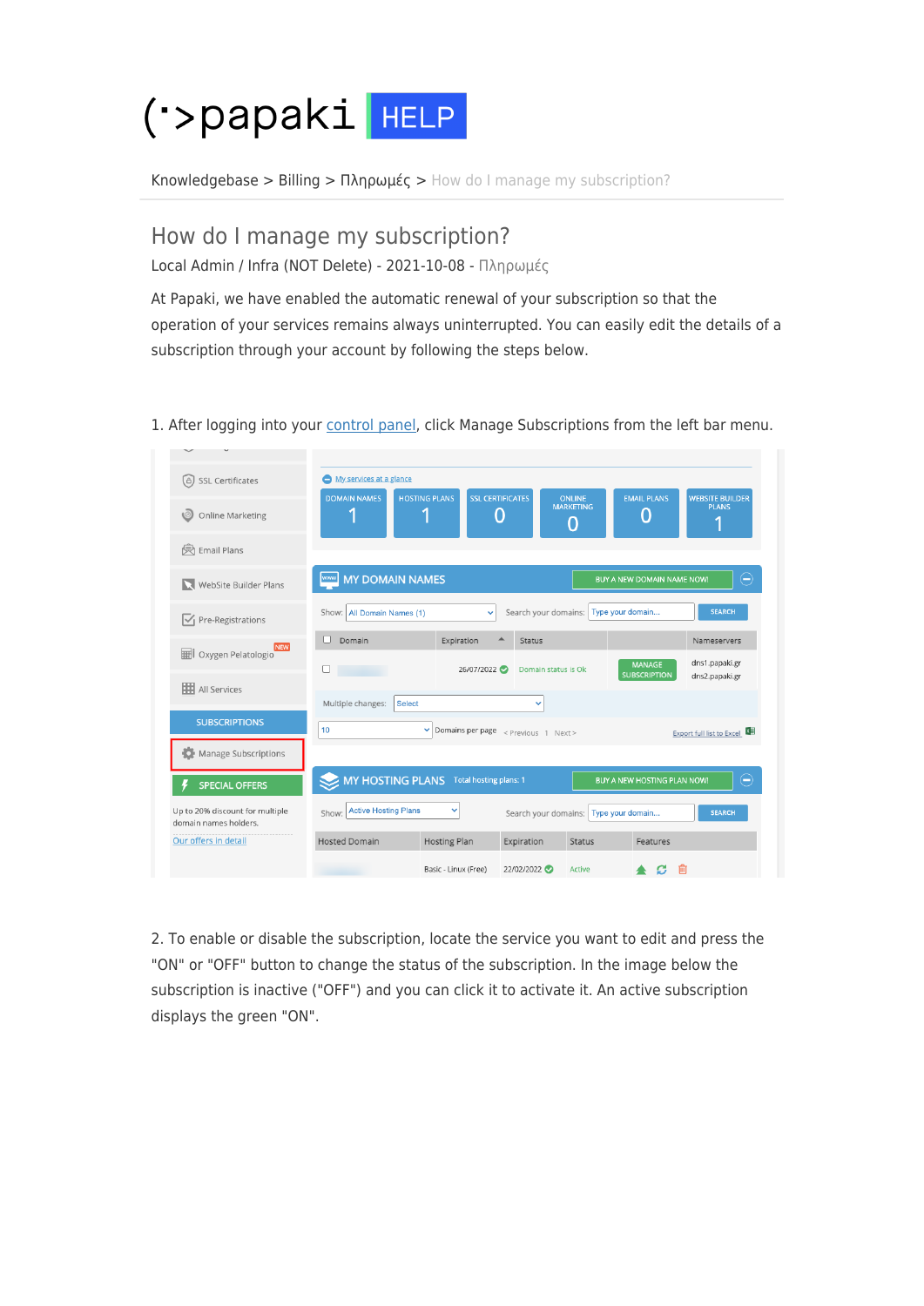

[Knowledgebase](https://help.papaki.com/en/kb) > [Billing](https://help.papaki.com/en/kb/billing) > [Πληρωμές](https://help.papaki.com/en/kb/article-7) > [How do I manage my subscription?](https://help.papaki.com/en/kb/articles/article-3457-2)

## How do I manage my subscription?

Local Admin / Infra (NOT Delete) - 2021-10-08 - [Πληρωμές](https://help.papaki.com/en/kb/article-7)

At Papaki, we have enabled the automatic renewal of your subscription so that the operation of your services remains always uninterrupted. You can easily edit the details of a subscription through your account by following the steps below.

1. After logging into your [control panel](https://www.papaki.com/cp2/login.aspx?lang=en-US), click Manage Subscriptions from the left bar menu.

| <b>SSL Certificates</b><br>(උ)                           | My services at a glance                                                                                                                                                                                   |
|----------------------------------------------------------|-----------------------------------------------------------------------------------------------------------------------------------------------------------------------------------------------------------|
| <b>Online Marketing</b>                                  | <b>SSL CERTIFICATES</b><br><b>HOSTING PLANS</b><br><b>EMAIL PLANS</b><br><b>WEBSITE BUILDER</b><br><b>DOMAIN NAMES</b><br><b>ONLINE</b><br><b>MARKETING</b><br><b>PLANS</b><br>1<br>4<br>Ω<br>Ω<br>4<br>O |
| <b>Email Plans</b><br>凤                                  |                                                                                                                                                                                                           |
| WebSite Builder Plans                                    | <b>MY DOMAIN NAMES</b><br>www<br>⊖<br><b>BUY A NEW DOMAIN NAME NOW!</b>                                                                                                                                   |
| $\overline{\mathcal{A}}$ Pre-Registrations               | Type your domain<br>Search your domains:<br><b>SEARCH</b><br>All Domain Names (1)<br>Show:<br>$\checkmark$                                                                                                |
| <b>NEW</b><br>Oxygen Pelatologio                         | Domain<br>Expiration<br><b>Status</b><br>Nameservers                                                                                                                                                      |
| <b>HI</b> All Services                                   | dns1.papaki.gr<br><b>MANAGE</b><br>26/07/2022<br>Domain status is Ok<br><b>SUBSCRIPTION</b><br>dns2.papaki.gr                                                                                             |
| <b>SUBSCRIPTIONS</b>                                     | Multiple changes:<br><b>Select</b><br>v                                                                                                                                                                   |
| Manage Subscriptions                                     | 10<br>Domains per page < Previous 1 Next><br>v<br>Export full list to Excel                                                                                                                               |
| <b>SPECIAL OFFERS</b>                                    | <b>MY HOSTING PLANS</b><br>⊖<br><b>Total hosting plans: 1</b><br>BUY A NEW HOSTING PLAN NOW!                                                                                                              |
| Up to 20% discount for multiple<br>domain names holders. | <b>Active Hosting Plans</b><br>v<br>Show:<br>Search your domains:<br>Type your domain<br><b>SEARCH</b>                                                                                                    |
| Our offers in detail                                     | <b>Hosted Domain</b><br><b>Hosting Plan</b><br>Expiration<br><b>Status</b><br>Features                                                                                                                    |
|                                                          | 22/02/2022<br>Basic - Linux (Free)<br>Active<br>而                                                                                                                                                         |

2. To enable or disable the subscription, locate the service you want to edit and press the "ON" or "OFF" button to change the status of the subscription. In the image below the subscription is inactive ("OFF") and you can click it to activate it. An active subscription displays the green "ON".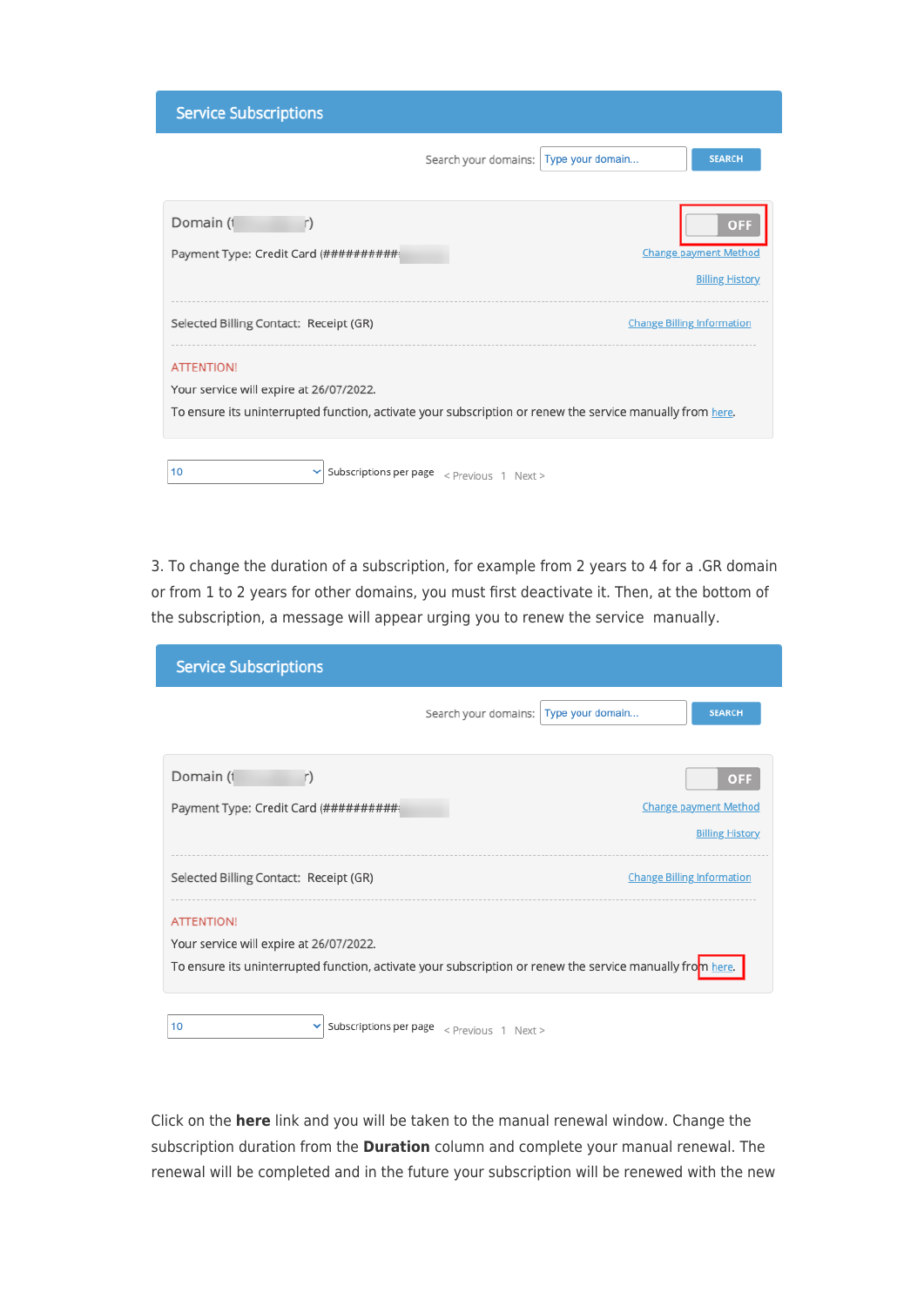| <b>Service Subscriptions</b>            |                                                                                                           |
|-----------------------------------------|-----------------------------------------------------------------------------------------------------------|
|                                         | Type your domain<br>Search your domains:<br><b>SEARCH</b>                                                 |
| Domain (1                               | OF                                                                                                        |
| Payment Type: Credit Card (###########  | <b>Change payment Method</b>                                                                              |
|                                         | <b>Billing History</b>                                                                                    |
| Selected Billing Contact: Receipt (GR)  | <b>Change Billing Information</b>                                                                         |
| <b>ATTENTION!</b>                       |                                                                                                           |
| Your service will expire at 26/07/2022. |                                                                                                           |
|                                         | To ensure its uninterrupted function, activate your subscription or renew the service manually from here. |
| 10                                      | Subscriptions per page $\langle$ Previous 1 Next >                                                        |

3. To change the duration of a subscription, for example from 2 years to 4 for a .GR domain or from 1 to 2 years for other domains, you must first deactivate it. Then, at the bottom of the subscription, a message will appear urging you to renew the service manually.

| <b>Service Subscriptions</b>                                                                              |                                                    |                  |                                                        |
|-----------------------------------------------------------------------------------------------------------|----------------------------------------------------|------------------|--------------------------------------------------------|
|                                                                                                           | Search your domains:                               | Type your domain | <b>SEARCH</b>                                          |
| Domain (1<br>r)                                                                                           |                                                    |                  | <b>OFF</b>                                             |
| Payment Type: Credit Card (###########                                                                    |                                                    |                  | <b>Change payment Method</b><br><b>Billing History</b> |
| Selected Billing Contact: Receipt (GR)                                                                    |                                                    |                  | <b>Change Billing Information</b>                      |
| <b>ATTENTION!</b>                                                                                         |                                                    |                  |                                                        |
| Your service will expire at 26/07/2022.                                                                   |                                                    |                  |                                                        |
| To ensure its uninterrupted function, activate your subscription or renew the service manually from here. |                                                    |                  |                                                        |
| 10<br>v                                                                                                   | Subscriptions per page $\langle$ Previous 1 Next > |                  |                                                        |

Click on the **here** link and you will be taken to the manual renewal window. Change the subscription duration from the **Duration** column and complete your manual renewal. The renewal will be completed and in the future your subscription will be renewed with the new